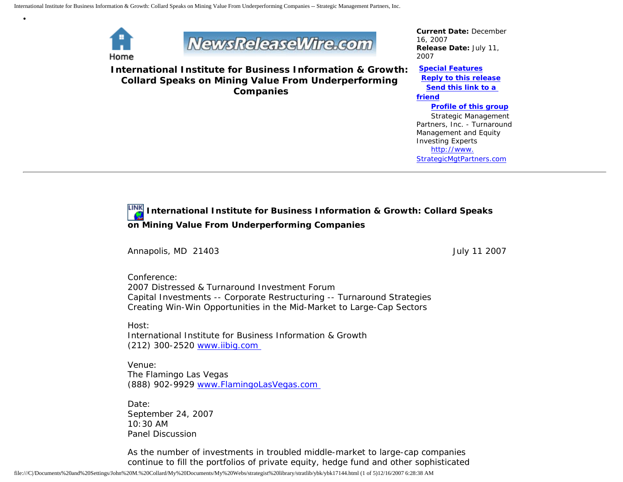

•



**International Institute for Business Information & Growth: Collard Speaks on Mining Value From Underperforming Companies**

*Current Date:* December 16, 2007 *Release Date:* July 11, 2007

**[Special Features](javascript:openlittleme() [Reply to this release](file:///C|/Documents%20and%20Settings/John%20M.%20Collard/My%20Documents/My%20Webs/strategist%20library/stratlib/ybk/default.cfm?Action=ReplyRelease&Id=17144) [Send this link to a](file:///C|/Documents%20and%20Settings/John%20M.%20Collard/My%20Documents/My%20Webs/strategist%20library/stratlib/ybk/default.cfm?Action=SendLink&SendId=17144)  [friend](file:///C|/Documents%20and%20Settings/John%20M.%20Collard/My%20Documents/My%20Webs/strategist%20library/stratlib/ybk/default.cfm?Action=SendLink&SendId=17144) [Profile of this group](file:///C|/Documents%20and%20Settings/John%20M.%20Collard/My%20Documents/My%20Webs/strategist%20library/stratlib/ybk/default.cfm?Action=Profile&ProfileId=623)** Strategic Management Partners, Inc. - Turnaround Management and Equity Investing Experts [http://www.](http://www.strategicmgtpartners.com/) [StrategicMgtPartners.com](http://www.strategicmgtpartners.com/)

## **International Institute for Business Information & Growth: Collard Speaks on Mining Value From Underperforming Companies**

Annapolis, MD 21403 **July 11 2007** 

Conference: 2007 Distressed & Turnaround Investment Forum Capital Investments -- Corporate Restructuring -- Turnaround Strategies Creating Win-Win Opportunities in the Mid-Market to Large-Cap Sectors

Host: International Institute for Business Information & Growth (212) 300-2520 [www.iibig.com](http://www.iibig.com/)

Venue: The Flamingo Las Vegas (888) 902-9929 [www.FlamingoLasVegas.com](http://www.flamingolasvegas.com/) 

Date: September 24, 2007 10:30 AM Panel Discussion

As the number of investments in troubled middle-market to large-cap companies continue to fill the portfolios of private equity, hedge fund and other sophisticated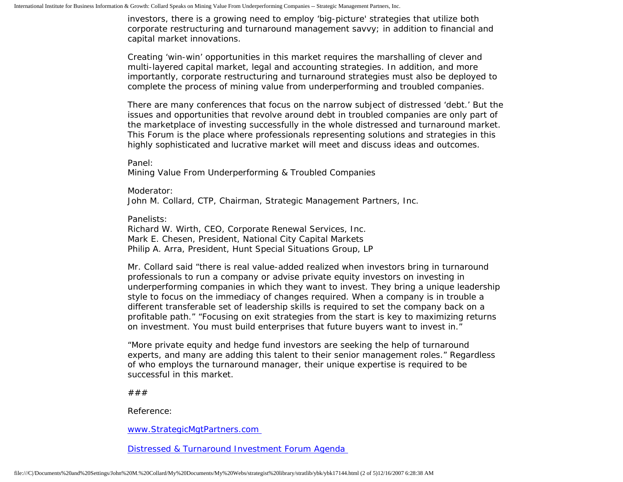investors, there is a growing need to employ 'big-picture' strategies that utilize both corporate restructuring and turnaround management savvy; in addition to financial and capital market innovations.

Creating 'win-win' opportunities in this market requires the marshalling of clever and multi-layered capital market, legal and accounting strategies. In addition, and more importantly, corporate restructuring and turnaround strategies must also be deployed to complete the process of mining value from underperforming and troubled companies.

There are many conferences that focus on the narrow subject of distressed 'debt.' But the issues and opportunities that revolve around debt in troubled companies are only part of the marketplace of investing successfully in the whole distressed and turnaround market. This Forum is the place where professionals representing solutions and strategies in this highly sophisticated and lucrative market will meet and discuss ideas and outcomes.

Panel:

Mining Value From Underperforming & Troubled Companies

Moderator: John M. Collard, CTP, Chairman, Strategic Management Partners, Inc.

Panelists:

Richard W. Wirth, CEO, Corporate Renewal Services, Inc. Mark E. Chesen, President, National City Capital Markets Philip A. Arra, President, Hunt Special Situations Group, LP

Mr. Collard said "there is real value-added realized when investors bring in turnaround professionals to run a company or advise private equity investors on investing in underperforming companies in which they want to invest. They bring a unique leadership style to focus on the immediacy of changes required. When a company is in trouble a different transferable set of leadership skills is required to set the company back on a profitable path." "Focusing on exit strategies from the start is key to maximizing returns on investment. You must build enterprises that future buyers want to invest in."

"More private equity and hedge fund investors are seeking the help of turnaround experts, and many are adding this talent to their senior management roles." Regardless of who employs the turnaround manager, their unique expertise is required to be successful in this market.

###

Reference:

[www.StrategicMgtPartners.com](http://www.strategicmgtpartners.com/)

[Distressed & Turnaround Investment Forum Agenda](http://www. iibig.com/conferences/F0701/overview.html)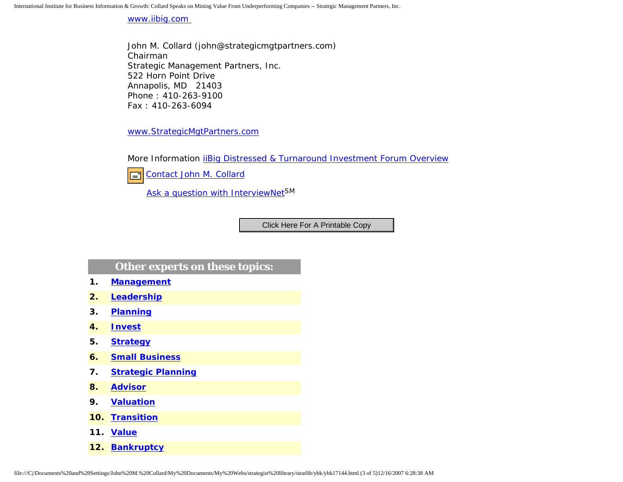International Institute for Business Information & Growth: Collard Speaks on Mining Value From Underperforming Companies -- Strategic Management Partners, Inc.

[www.iibig.com](http://www.iibig.com/) 

John M. Collard (john@strategicmgtpartners.com) Chairman Strategic Management Partners, Inc. 522 Horn Point Drive Annapolis, MD 21403 Phone : 410-263-9100 Fax : 410-263-6094

[www.StrategicMgtPartners.com](http://www.strategicmgtpartners.com/)

More Information *[iiBig Distressed & Turnaround Investment Forum Overview](http://www.iibig.com/conferences/F0701/overview.html)* 



[Ask a question with InterviewNetS](http://www.expertclick.com/expertClick/contact/default.cfm?GroupID=1016)M

## **Other experts on these topics:**

- **1. [Management](http://www.expertclick.com/search/default.cfm?SearchCriteria=Management)**
- **2. [Leadership](http://www.expertclick.com/search/default.cfm?SearchCriteria=Leadership)**
- **3. [Planning](http://www.expertclick.com/search/default.cfm?SearchCriteria=Planning)**
- **4. [Invest](http://www.expertclick.com/search/default.cfm?SearchCriteria=Invest)**
- **5. [Strategy](http://www.expertclick.com/search/default.cfm?SearchCriteria=Strategy)**
- **6. [Small Business](http://www.expertclick.com/search/default.cfm?SearchCriteria=Small Business)**
- **7. [Strategic Planning](http://www.expertclick.com/search/default.cfm?SearchCriteria=Strategic Planning)**
- **8. [Advisor](http://www.expertclick.com/search/default.cfm?SearchCriteria=Advisor)**
- **9. [Valuation](http://www.expertclick.com/search/default.cfm?SearchCriteria=Valuation)**
- **10. [Transition](http://www.expertclick.com/search/default.cfm?SearchCriteria=Transition)**
- **11. [Value](http://www.expertclick.com/search/default.cfm?SearchCriteria=Value)**
- **12. [Bankruptcy](http://www.expertclick.com/search/default.cfm?SearchCriteria=Bankruptcy)**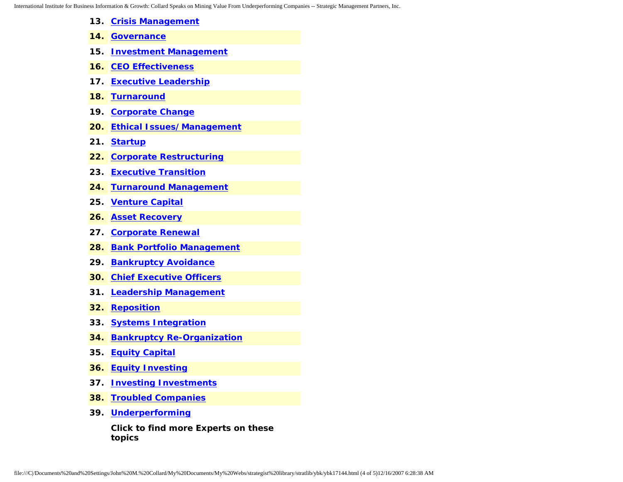International Institute for Business Information & Growth: Collard Speaks on Mining Value From Underperforming Companies -- Strategic Management Partners, Inc.

- **13. [Crisis Management](http://www.expertclick.com/search/default.cfm?SearchCriteria=Crisis Management)**
- **14. [Governance](http://www.expertclick.com/search/default.cfm?SearchCriteria=Governance)**
- **15. [Investment Management](http://www.expertclick.com/search/default.cfm?SearchCriteria=Investment Management)**
- **16. [CEO Effectiveness](http://www.expertclick.com/search/default.cfm?SearchCriteria=CEO Effectiveness)**
- **17. [Executive Leadership](http://www.expertclick.com/search/default.cfm?SearchCriteria=Executive Leadership)**
- **18. [Turnaround](http://www.expertclick.com/search/default.cfm?SearchCriteria=Turnaround)**
- **19. [Corporate Change](http://www.expertclick.com/search/default.cfm?SearchCriteria=Corporate Change)**
- **20. [Ethical Issues/Management](http://www.expertclick.com/search/default.cfm?SearchCriteria=Ethical Issues/Management)**
- **21. [Startup](http://www.expertclick.com/search/default.cfm?SearchCriteria=Startup)**
- **22. [Corporate Restructuring](http://www.expertclick.com/search/default.cfm?SearchCriteria=Corporate Restructuring)**
- **23. [Executive Transition](http://www.expertclick.com/search/default.cfm?SearchCriteria=Executive Transition)**
- **24. [Turnaround Management](http://www.expertclick.com/search/default.cfm?SearchCriteria=Turnaround Management)**
- **25. [Venture Capital](http://www.expertclick.com/search/default.cfm?SearchCriteria=Venture Capital)**
- **26. [Asset Recovery](http://www.expertclick.com/search/default.cfm?SearchCriteria=Asset Recovery)**
- **27. [Corporate Renewal](http://www.expertclick.com/search/default.cfm?SearchCriteria=Corporate Renewal)**
- **28. [Bank Portfolio Management](http://www.expertclick.com/search/default.cfm?SearchCriteria=Bank Portfolio Management)**
- **29. [Bankruptcy Avoidance](http://www.expertclick.com/search/default.cfm?SearchCriteria=Bankruptcy Avoidance)**
- **30. [Chief Executive Officers](http://www.expertclick.com/search/default.cfm?SearchCriteria=Chief Executive Officers)**
- **31. [Leadership Management](http://www.expertclick.com/search/default.cfm?SearchCriteria=Leadership Management)**
- **32. [Reposition](http://www.expertclick.com/search/default.cfm?SearchCriteria=Reposition)**
- **33. [Systems Integration](http://www.expertclick.com/search/default.cfm?SearchCriteria=Systems Integration)**
- **34. [Bankruptcy Re-Organization](http://www.expertclick.com/search/default.cfm?SearchCriteria=Bankruptcy Re-Organization)**
- **35. [Equity Capital](http://www.expertclick.com/search/default.cfm?SearchCriteria=Equity Capital)**
- **36. [Equity Investing](http://www.expertclick.com/search/default.cfm?SearchCriteria=Equity Investing)**
- **37. [Investing Investments](http://www.expertclick.com/search/default.cfm?SearchCriteria=Investing Investments)**
- **38. [Troubled Companies](http://www.expertclick.com/search/default.cfm?SearchCriteria=Troubled Companies)**
- **39. [Underperforming](http://www.expertclick.com/search/default.cfm?SearchCriteria=Underperforming)**

**Click to find more Experts on these topics**